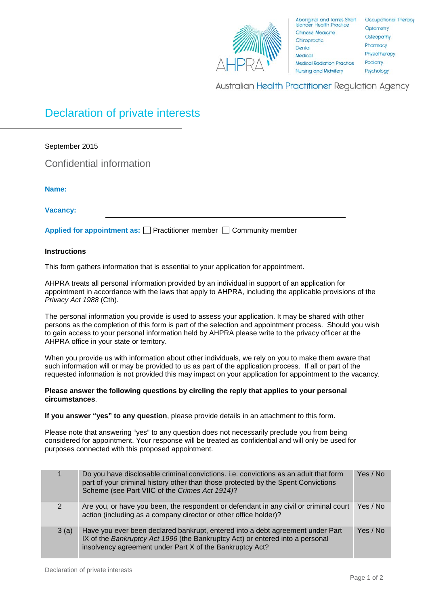

Australian Health Practitioner Regulation Agency

## Declaration of private interests

| September 2015                                                                 |  |  |  |  |  |
|--------------------------------------------------------------------------------|--|--|--|--|--|
| Confidential information                                                       |  |  |  |  |  |
| Name:                                                                          |  |  |  |  |  |
| <b>Vacancy:</b>                                                                |  |  |  |  |  |
| Applied for appointment as: $\Box$ Practitioner member $\Box$ Community member |  |  |  |  |  |

## **Instructions**

This form gathers information that is essential to your application for appointment.

AHPRA treats all personal information provided by an individual in support of an application for appointment in accordance with the laws that apply to AHPRA, including the applicable provisions of the *Privacy Act 1988* (Cth).

The personal information you provide is used to assess your application. It may be shared with other persons as the completion of this form is part of the selection and appointment process. Should you wish to gain access to your personal information held by AHPRA please write to the privacy officer at the AHPRA office in your state or territory.

When you provide us with information about other individuals, we rely on you to make them aware that such information will or may be provided to us as part of the application process. If all or part of the requested information is not provided this may impact on your application for appointment to the vacancy.

## **Please answer the following questions by circling the reply that applies to your personal circumstances**.

**If you answer "yes" to any question**, please provide details in an attachment to this form.

Please note that answering "yes" to any question does not necessarily preclude you from being considered for appointment. Your response will be treated as confidential and will only be used for purposes connected with this proposed appointment.

|               | Do you have disclosable criminal convictions. i.e. convictions as an adult that form<br>part of your criminal history other than those protected by the Spent Convictions<br>Scheme (see Part VIIC of the Crimes Act 1914)? | Yes / No |
|---------------|-----------------------------------------------------------------------------------------------------------------------------------------------------------------------------------------------------------------------------|----------|
| $\mathcal{P}$ | Are you, or have you been, the respondent or defendant in any civil or criminal court<br>action (including as a company director or other office holder)?                                                                   | Yes / No |
| 3(a)          | Have you ever been declared bankrupt, entered into a debt agreement under Part<br>IX of the Bankruptcy Act 1996 (the Bankruptcy Act) or entered into a personal<br>insolvency agreement under Part X of the Bankruptcy Act? | Yes / No |